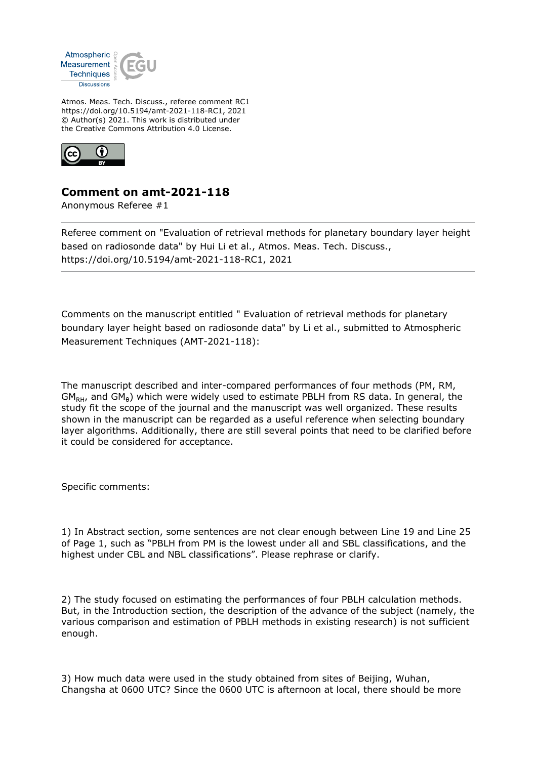

Atmos. Meas. Tech. Discuss., referee comment RC1 https://doi.org/10.5194/amt-2021-118-RC1, 2021 © Author(s) 2021. This work is distributed under the Creative Commons Attribution 4.0 License.



## **Comment on amt-2021-118**

Anonymous Referee #1

Referee comment on "Evaluation of retrieval methods for planetary boundary layer height based on radiosonde data" by Hui Li et al., Atmos. Meas. Tech. Discuss., https://doi.org/10.5194/amt-2021-118-RC1, 2021

Comments on the manuscript entitled " Evaluation of retrieval methods for planetary boundary layer height based on radiosonde data" by Li et al., submitted to Atmospheric Measurement Techniques (AMT-2021-118):

The manuscript described and inter-compared performances of four methods (PM, RM,  $GM<sub>RH</sub>$ , and  $GM<sub>θ</sub>$ ) which were widely used to estimate PBLH from RS data. In general, the study fit the scope of the journal and the manuscript was well organized. These results shown in the manuscript can be regarded as a useful reference when selecting boundary layer algorithms. Additionally, there are still several points that need to be clarified before it could be considered for acceptance.

Specific comments:

1) In Abstract section, some sentences are not clear enough between Line 19 and Line 25 of Page 1, such as "PBLH from PM is the lowest under all and SBL classifications, and the highest under CBL and NBL classifications". Please rephrase or clarify.

2) The study focused on estimating the performances of four PBLH calculation methods. But, in the Introduction section, the description of the advance of the subject (namely, the various comparison and estimation of PBLH methods in existing research) is not sufficient enough.

3) How much data were used in the study obtained from sites of Beijing, Wuhan, Changsha at 0600 UTC? Since the 0600 UTC is afternoon at local, there should be more